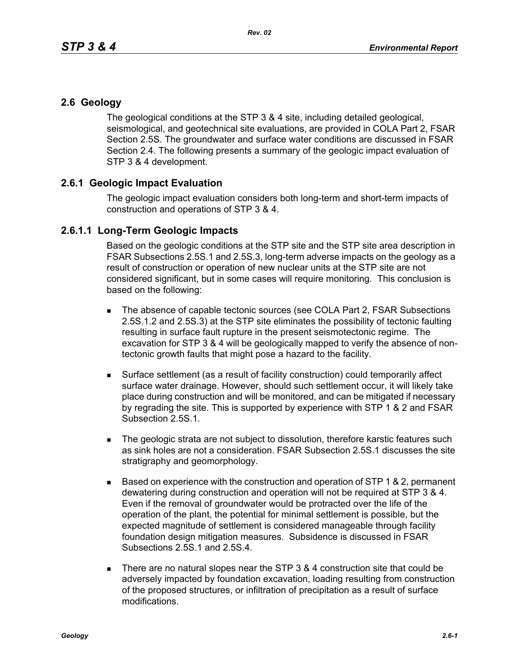## **2.6 Geology**

The geological conditions at the STP 3 & 4 site, including detailed geological, seismological, and geotechnical site evaluations, are provided in COLA Part 2, FSAR Section 2.5S. The groundwater and surface water conditions are discussed in FSAR Section 2.4. The following presents a summary of the geologic impact evaluation of STP 3 & 4 development.

## **2.6.1 Geologic Impact Evaluation**

The geologic impact evaluation considers both long-term and short-term impacts of construction and operations of STP 3 & 4.

## **2.6.1.1 Long-Term Geologic Impacts**

Based on the geologic conditions at the STP site and the STP site area description in FSAR Subsections 2.5S.1 and 2.5S.3, long-term adverse impacts on the geology as a result of construction or operation of new nuclear units at the STP site are not considered significant, but in some cases will require monitoring. This conclusion is based on the following:

- The absence of capable tectonic sources (see COLA Part 2, FSAR Subsections 2.5S.1.2 and 2.5S.3) at the STP site eliminates the possibility of tectonic faulting resulting in surface fault rupture in the present seismotectonic regime. The excavation for STP 3 & 4 will be geologically mapped to verify the absence of nontectonic growth faults that might pose a hazard to the facility.
- Surface settlement (as a result of facility construction) could temporarily affect surface water drainage. However, should such settlement occur, it will likely take place during construction and will be monitored, and can be mitigated if necessary by regrading the site. This is supported by experience with STP 1 & 2 and FSAR Subsection 2.5S.1.
- The geologic strata are not subject to dissolution, therefore karstic features such as sink holes are not a consideration. FSAR Subsection 2.5S.1 discusses the site stratigraphy and geomorphology.
- $\blacksquare$  Based on experience with the construction and operation of STP 1 & 2, permanent dewatering during construction and operation will not be required at STP 3 & 4. Even if the removal of groundwater would be protracted over the life of the operation of the plant, the potential for minimal settlement is possible, but the expected magnitude of settlement is considered manageable through facility foundation design mitigation measures. Subsidence is discussed in FSAR Subsections 2.5S.1 and 2.5S.4.
- There are no natural slopes near the STP  $3.8.4$  construction site that could be adversely impacted by foundation excavation, loading resulting from construction of the proposed structures, or infiltration of precipitation as a result of surface modifications.